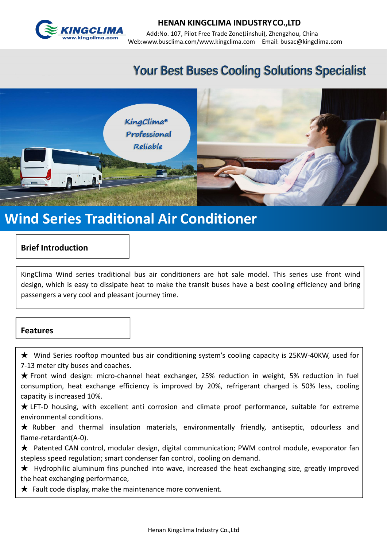

# **Your Best Buses Cooling Solutions Specialist**



### **Brief Introduction**

KingClima Wind series traditional bus air conditioners are hot sale model. This series use front wind design, which is easy to dissipate heat to make the transit buses have a best cooling efficiency and bring **Particulary Exhibited Series Straditional Air Conditioner**<br> **Brief Introduction<br>
KingClima** Wind series traditional bus air conditioners are hot sale mo<br>
design, which is easy to dissipate heat to make the transit buses h

#### **Features**

★ Wind Series rooftop mounted bus air conditioning system's cooling capacity is 25KW-40KW, used for 7-13 meter city buses and coaches.

★ Front wind design: micro-channel heat exchanger, 25% reduction in weight, 5% reduction in fuel consumption, heat exchange efficiency is improved by 20%, refrigerant charged is 50% less, cooling capacity is increased 10%.

 $\star$  LFT-D housing, with excellent anti corrosion and climate proof performance, suitable for extreme environmental conditions.

★ Rubber and thermal insulation materials, environmentally friendly, antiseptic, odourless and flame-retardant(A-0).

★ Patented CAN control, modular design, digital communication; PWM control module, evaporator fan stepless speed regulation; smart condenser fan control, cooling on demand.

★ Hydrophilic aluminum fins punched into wave, increased the heat exchanging size, greatly improved the heat exchanging performance,

 $\bigstar$  Fault code display, make the maintenance more convenient.